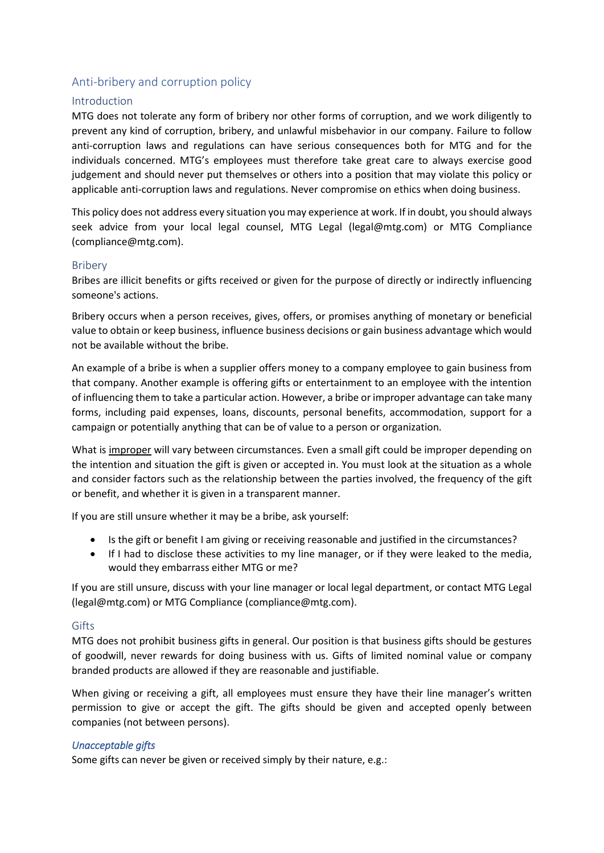# Anti-bribery and corruption policy

## Introduction

MTG does not tolerate any form of bribery nor other forms of corruption, and we work diligently to prevent any kind of corruption, bribery, and unlawful misbehavior in our company. Failure to follow anti-corruption laws and regulations can have serious consequences both for MTG and for the individuals concerned. MTG's employees must therefore take great care to always exercise good judgement and should never put themselves or others into a position that may violate this policy or applicable anti-corruption laws and regulations. Never compromise on ethics when doing business.

This policy does not address every situation you may experience at work. If in doubt, you should always seek advice from your local legal counsel, MTG Legal (legal@mtg.com) or MTG Compliance (compliance@mtg.com).

#### Bribery

Bribes are illicit benefits or gifts received or given for the purpose of directly or indirectly influencing someone's actions.

Bribery occurs when a person receives, gives, offers, or promises anything of monetary or beneficial value to obtain or keep business, influence business decisions or gain business advantage which would not be available without the bribe.

An example of a bribe is when a supplier offers money to a company employee to gain business from that company. Another example is offering gifts or entertainment to an employee with the intention of influencing them to take a particular action. However, a bribe or improper advantage can take many forms, including paid expenses, loans, discounts, personal benefits, accommodation, support for a campaign or potentially anything that can be of value to a person or organization.

What is improper will vary between circumstances. Even a small gift could be improper depending on the intention and situation the gift is given or accepted in. You must look at the situation as a whole and consider factors such as the relationship between the parties involved, the frequency of the gift or benefit, and whether it is given in a transparent manner.

If you are still unsure whether it may be a bribe, ask yourself:

- Is the gift or benefit I am giving or receiving reasonable and justified in the circumstances?
- If I had to disclose these activities to my line manager, or if they were leaked to the media, would they embarrass either MTG or me?

If you are still unsure, discuss with your line manager or local legal department, or contact MTG Legal (legal@mtg.com) or MTG Compliance (compliance@mtg.com).

#### **Gifts**

MTG does not prohibit business gifts in general. Our position is that business gifts should be gestures of goodwill, never rewards for doing business with us. Gifts of limited nominal value or company branded products are allowed if they are reasonable and justifiable.

When giving or receiving a gift, all employees must ensure they have their line manager's written permission to give or accept the gift. The gifts should be given and accepted openly between companies (not between persons).

#### *Unacceptable gifts*

Some gifts can never be given or received simply by their nature, e.g.: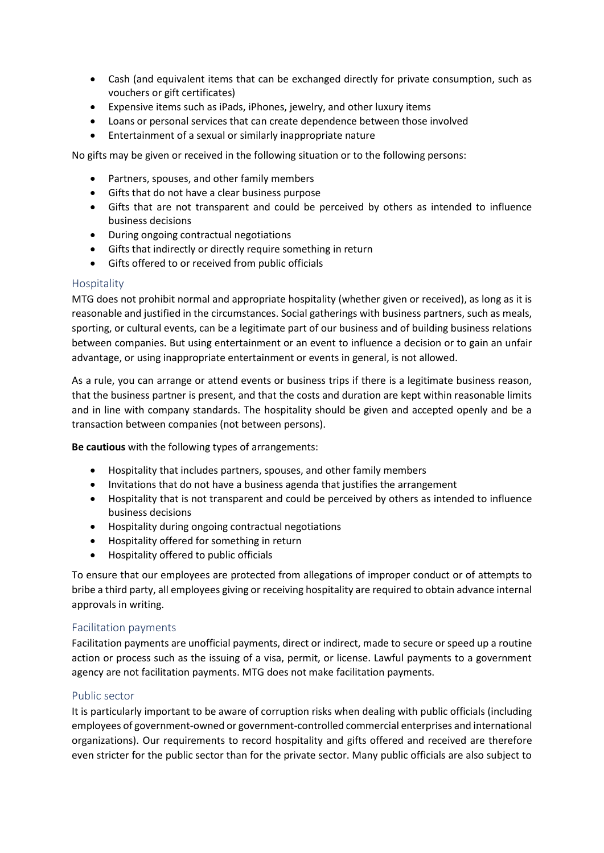- Cash (and equivalent items that can be exchanged directly for private consumption, such as vouchers or gift certificates)
- Expensive items such as iPads, iPhones, jewelry, and other luxury items
- Loans or personal services that can create dependence between those involved
- Entertainment of a sexual or similarly inappropriate nature

No gifts may be given or received in the following situation or to the following persons:

- Partners, spouses, and other family members
- Gifts that do not have a clear business purpose
- Gifts that are not transparent and could be perceived by others as intended to influence business decisions
- During ongoing contractual negotiations
- Gifts that indirectly or directly require something in return
- Gifts offered to or received from public officials

## Hospitality

MTG does not prohibit normal and appropriate hospitality (whether given or received), as long as it is reasonable and justified in the circumstances. Social gatherings with business partners, such as meals, sporting, or cultural events, can be a legitimate part of our business and of building business relations between companies. But using entertainment or an event to influence a decision or to gain an unfair advantage, or using inappropriate entertainment or events in general, is not allowed.

As a rule, you can arrange or attend events or business trips if there is a legitimate business reason, that the business partner is present, and that the costs and duration are kept within reasonable limits and in line with company standards. The hospitality should be given and accepted openly and be a transaction between companies (not between persons).

**Be cautious** with the following types of arrangements:

- Hospitality that includes partners, spouses, and other family members
- Invitations that do not have a business agenda that justifies the arrangement
- Hospitality that is not transparent and could be perceived by others as intended to influence business decisions
- Hospitality during ongoing contractual negotiations
- Hospitality offered for something in return
- Hospitality offered to public officials

To ensure that our employees are protected from allegations of improper conduct or of attempts to bribe a third party, all employees giving or receiving hospitality are required to obtain advance internal approvals in writing.

## Facilitation payments

Facilitation payments are unofficial payments, direct or indirect, made to secure or speed up a routine action or process such as the issuing of a visa, permit, or license. Lawful payments to a government agency are not facilitation payments. MTG does not make facilitation payments.

## Public sector

It is particularly important to be aware of corruption risks when dealing with public officials (including employees of government-owned or government-controlled commercial enterprises and international organizations). Our requirements to record hospitality and gifts offered and received are therefore even stricter for the public sector than for the private sector. Many public officials are also subject to